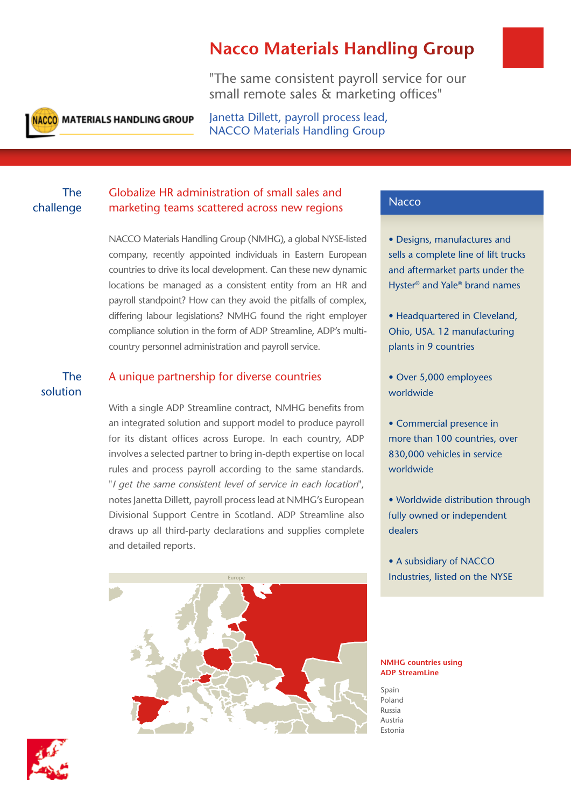# **Nacco Materials Handling Group**

"The same consistent payroll service for our small remote sales & marketing offices"



**NACCO MATERIALS HANDLING GROUP** 

Janetta Dillett, payroll process lead, NACCO Materials Handling Group

## The challenge

## Globalize HR administration of small sales and marketing teams scattered across new regions

NACCO Materials Handling Group (NMHG), a global NYSE-listed company, recently appointed individuals in Eastern European countries to drive its local development. Can these new dynamic locations be managed as a consistent entity from an HR and payroll standpoint? How can they avoid the pitfalls of complex, differing labour legislations? NMHG found the right employer compliance solution in the form of ADP Streamline, ADP's multicountry personnel administration and payroll service.

## The solution

## A unique partnership for diverse countries

With a single ADP Streamline contract, NMHG benefits from an integrated solution and support model to produce payroll for its distant offices across Europe. In each country, ADP involves a selected partner to bring in-depth expertise on local rules and process payroll according to the same standards. *Particular in the same consistent level of service in each location***", <b>American Assume that the same consistent level of service in each location**", notes Janetta Dillett, payroll process lead at NMHG's European Divisional Support Centre in Scotland. ADP Streamline also draws up all third-party declarations and supplies complete and detailed reports.



### **Nacco**

• Designs, manufactures and sells a complete line of lift trucks and aftermarket parts under the Hyster® and Yale® brand names

- Headquartered in Cleveland, Ohio, USA. 12 manufacturing plants in 9 countries
- Over 5,000 employees worldwide
- Commercial presence in more than 100 countries, over 830,000 vehicles in service worldwide
- Worldwide distribution through fully owned or independent dealers
- A subsidiary of NACCO Industries, listed on the NYSE

### **NMHG countries using ADP StreamLine**

Spain Poland Russia Austria Estonia